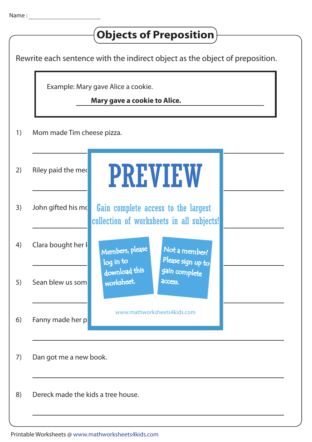